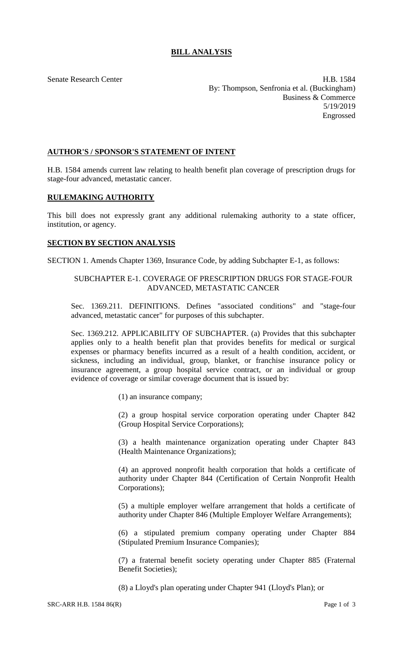# **BILL ANALYSIS**

Senate Research Center **H.B. 1584** By: Thompson, Senfronia et al. (Buckingham) Business & Commerce 5/19/2019 Engrossed

### **AUTHOR'S / SPONSOR'S STATEMENT OF INTENT**

H.B. 1584 amends current law relating to health benefit plan coverage of prescription drugs for stage-four advanced, metastatic cancer.

### **RULEMAKING AUTHORITY**

This bill does not expressly grant any additional rulemaking authority to a state officer, institution, or agency.

#### **SECTION BY SECTION ANALYSIS**

SECTION 1. Amends Chapter 1369, Insurance Code, by adding Subchapter E-1, as follows:

## SUBCHAPTER E-1. COVERAGE OF PRESCRIPTION DRUGS FOR STAGE-FOUR ADVANCED, METASTATIC CANCER

Sec. 1369.211. DEFINITIONS. Defines "associated conditions" and "stage-four advanced, metastatic cancer" for purposes of this subchapter.

Sec. 1369.212. APPLICABILITY OF SUBCHAPTER. (a) Provides that this subchapter applies only to a health benefit plan that provides benefits for medical or surgical expenses or pharmacy benefits incurred as a result of a health condition, accident, or sickness, including an individual, group, blanket, or franchise insurance policy or insurance agreement, a group hospital service contract, or an individual or group evidence of coverage or similar coverage document that is issued by:

(1) an insurance company;

(2) a group hospital service corporation operating under Chapter 842 (Group Hospital Service Corporations);

(3) a health maintenance organization operating under Chapter 843 (Health Maintenance Organizations);

(4) an approved nonprofit health corporation that holds a certificate of authority under Chapter 844 (Certification of Certain Nonprofit Health Corporations);

(5) a multiple employer welfare arrangement that holds a certificate of authority under Chapter 846 (Multiple Employer Welfare Arrangements);

(6) a stipulated premium company operating under Chapter 884 (Stipulated Premium Insurance Companies);

(7) a fraternal benefit society operating under Chapter 885 (Fraternal Benefit Societies);

(8) a Lloyd's plan operating under Chapter 941 (Lloyd's Plan); or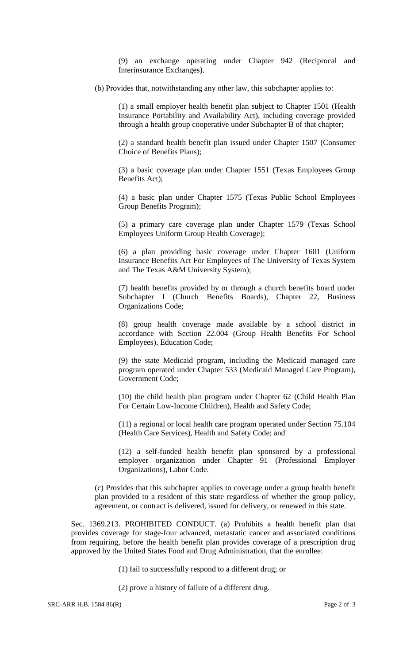(9) an exchange operating under Chapter 942 (Reciprocal and Interinsurance Exchanges).

(b) Provides that, notwithstanding any other law, this subchapter applies to:

(1) a small employer health benefit plan subject to Chapter 1501 (Health Insurance Portability and Availability Act), including coverage provided through a health group cooperative under Subchapter B of that chapter;

(2) a standard health benefit plan issued under Chapter 1507 (Consumer Choice of Benefits Plans);

(3) a basic coverage plan under Chapter 1551 (Texas Employees Group Benefits Act);

(4) a basic plan under Chapter 1575 (Texas Public School Employees Group Benefits Program);

(5) a primary care coverage plan under Chapter 1579 (Texas School Employees Uniform Group Health Coverage);

(6) a plan providing basic coverage under Chapter 1601 (Uniform Insurance Benefits Act For Employees of The University of Texas System and The Texas A&M University System);

(7) health benefits provided by or through a church benefits board under Subchapter I (Church Benefits Boards), Chapter 22, Business Organizations Code;

(8) group health coverage made available by a school district in accordance with Section 22.004 (Group Health Benefits For School Employees), Education Code;

(9) the state Medicaid program, including the Medicaid managed care program operated under Chapter 533 (Medicaid Managed Care Program), Government Code;

(10) the child health plan program under Chapter 62 (Child Health Plan For Certain Low-Income Children), Health and Safety Code;

(11) a regional or local health care program operated under Section 75.104 (Health Care Services), Health and Safety Code; and

(12) a self-funded health benefit plan sponsored by a professional employer organization under Chapter 91 (Professional Employer Organizations), Labor Code.

(c) Provides that this subchapter applies to coverage under a group health benefit plan provided to a resident of this state regardless of whether the group policy, agreement, or contract is delivered, issued for delivery, or renewed in this state.

Sec. 1369.213. PROHIBITED CONDUCT. (a) Prohibits a health benefit plan that provides coverage for stage-four advanced, metastatic cancer and associated conditions from requiring, before the health benefit plan provides coverage of a prescription drug approved by the United States Food and Drug Administration, that the enrollee:

(1) fail to successfully respond to a different drug; or

(2) prove a history of failure of a different drug.